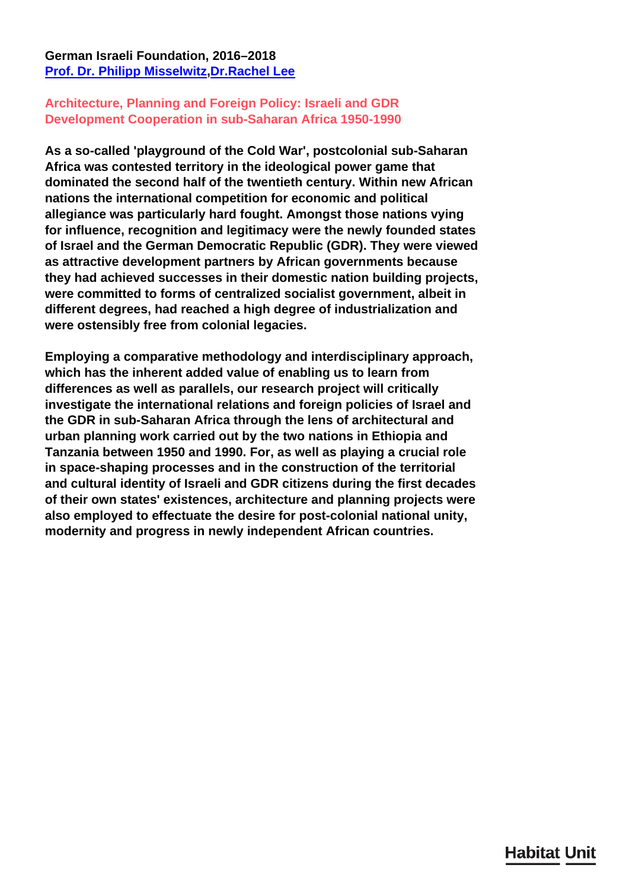## **German Israeli Foundation, 2016–2018 [Prof. Dr. Philipp Misselwitz](/en/team/philipp-misselwitz/)[,Dr.Rachel Lee](/en/team/rachel-lee/)**

## **Architecture, Planning and Foreign Policy: Israeli and GDR Development Cooperation in sub-Saharan Africa 1950-1990**

**As a so-called 'playground of the Cold War', postcolonial sub-Saharan Africa was contested territory in the ideological power game that dominated the second half of the twentieth century. Within new African nations the international competition for economic and political allegiance was particularly hard fought. Amongst those nations vying for influence, recognition and legitimacy were the newly founded states of Israel and the German Democratic Republic (GDR). They were viewed as attractive development partners by African governments because they had achieved successes in their domestic nation building projects, were committed to forms of centralized socialist government, albeit in different degrees, had reached a high degree of industrialization and were ostensibly free from colonial legacies.**

**Employing a comparative methodology and interdisciplinary approach, which has the inherent added value of enabling us to learn from differences as well as parallels, our research project will critically investigate the international relations and foreign policies of Israel and the GDR in sub-Saharan Africa through the lens of architectural and urban planning work carried out by the two nations in Ethiopia and Tanzania between 1950 and 1990. For, as well as playing a crucial role in space-shaping processes and in the construction of the territorial and cultural identity of Israeli and GDR citizens during the first decades of their own states' existences, architecture and planning projects were also employed to effectuate the desire for post-colonial national unity, modernity and progress in newly independent African countries.**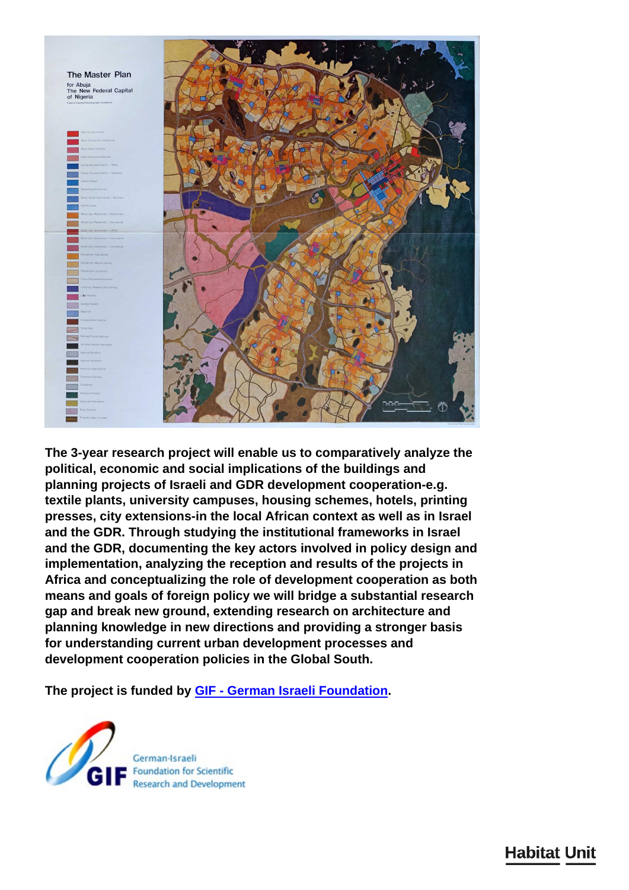

**The 3-year research project will enable us to comparatively analyze the political, economic and social implications of the buildings and planning projects of Israeli and GDR development cooperation-e.g. textile plants, university campuses, housing schemes, hotels, printing presses, city extensions-in the local African context as well as in Israel and the GDR. Through studying the institutional frameworks in Israel and the GDR, documenting the key actors involved in policy design and implementation, analyzing the reception and results of the projects in Africa and conceptualizing the role of development cooperation as both means and goals of foreign policy we will bridge a substantial research gap and break new ground, extending research on architecture and planning knowledge in new directions and providing a stronger basis for understanding current urban development processes and development cooperation policies in the Global South.**

**The project is funded by [GIF - German Israeli Foundation](http://www.gif.org.il/Pages/default.aspx).**



**Habitat Unit**